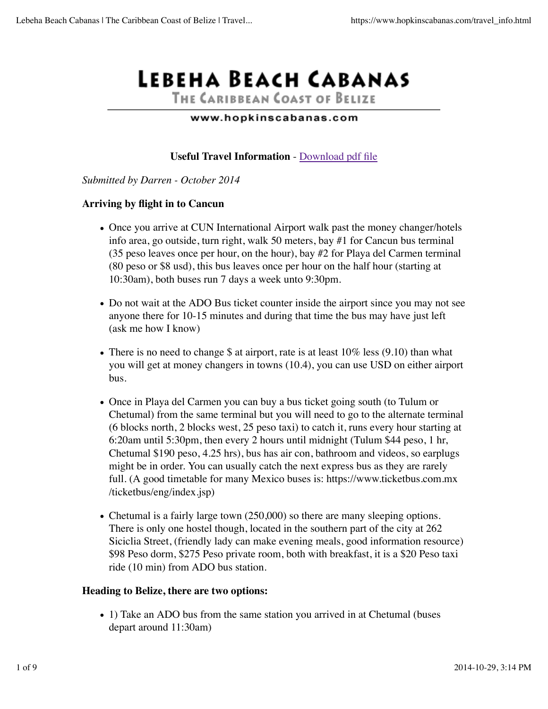# LEBEHA BEACH CABANAS

THE CARIBBEAN COAST OF BELIZE

### www.hopkinscabanas.com

# **Useful Travel Information** - Download pdf file

#### *Submitted by Darren - October 2014*

## **Arriving by flight in to Cancun**

- Once you arrive at CUN International Airport walk past the money changer/hotels info area, go outside, turn right, walk 50 meters, bay #1 for Cancun bus terminal (35 peso leaves once per hour, on the hour), bay #2 for Playa del Carmen terminal (80 peso or \$8 usd), this bus leaves once per hour on the half hour (starting at 10:30am), both buses run 7 days a week unto 9:30pm.
- Do not wait at the ADO Bus ticket counter inside the airport since you may not see anyone there for 10-15 minutes and during that time the bus may have just left (ask me how I know)
- There is no need to change \$ at airport, rate is at least  $10\%$  less (9.10) than what you will get at money changers in towns (10.4), you can use USD on either airport bus.
- Once in Playa del Carmen you can buy a bus ticket going south (to Tulum or Chetumal) from the same terminal but you will need to go to the alternate terminal (6 blocks north, 2 blocks west, 25 peso taxi) to catch it, runs every hour starting at 6:20am until 5:30pm, then every 2 hours until midnight (Tulum \$44 peso, 1 hr, Chetumal \$190 peso, 4.25 hrs), bus has air con, bathroom and videos, so earplugs might be in order. You can usually catch the next express bus as they are rarely full. (A good timetable for many Mexico buses is: https://www.ticketbus.com.mx /ticketbus/eng/index.jsp)
- Chetumal is a fairly large town (250,000) so there are many sleeping options. There is only one hostel though, located in the southern part of the city at 262 Siciclia Street, (friendly lady can make evening meals, good information resource) \$98 Peso dorm, \$275 Peso private room, both with breakfast, it is a \$20 Peso taxi ride (10 min) from ADO bus station.

## **Heading to Belize, there are two options:**

1) Take an ADO bus from the same station you arrived in at Chetumal (buses depart around 11:30am)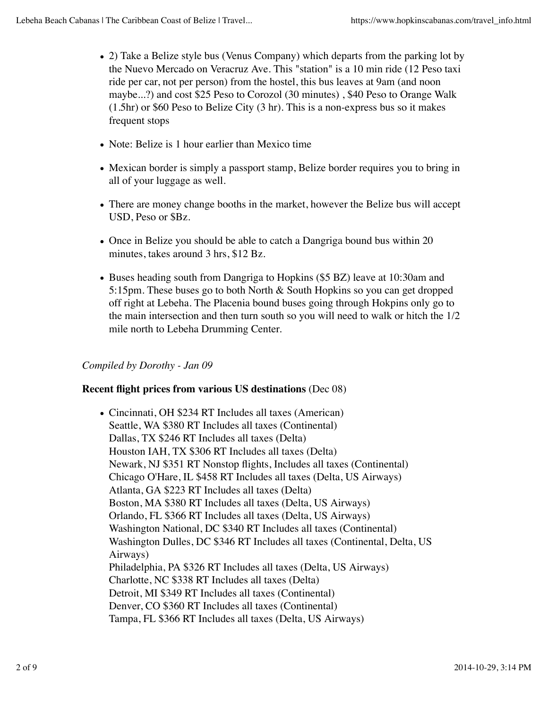- 2) Take a Belize style bus (Venus Company) which departs from the parking lot by the Nuevo Mercado on Veracruz Ave. This "station" is a 10 min ride (12 Peso taxi ride per car, not per person) from the hostel, this bus leaves at 9am (and noon maybe...?) and cost \$25 Peso to Corozol (30 minutes) , \$40 Peso to Orange Walk (1.5hr) or \$60 Peso to Belize City (3 hr). This is a non-express bus so it makes frequent stops
- Note: Belize is 1 hour earlier than Mexico time
- Mexican border is simply a passport stamp, Belize border requires you to bring in all of your luggage as well.
- There are money change booths in the market, however the Belize bus will accept USD, Peso or \$Bz.
- Once in Belize you should be able to catch a Dangriga bound bus within 20 minutes, takes around 3 hrs, \$12 Bz.
- Buses heading south from Dangriga to Hopkins (\$5 BZ) leave at 10:30am and 5:15pm. These buses go to both North & South Hopkins so you can get dropped off right at Lebeha. The Placenia bound buses going through Hokpins only go to the main intersection and then turn south so you will need to walk or hitch the 1/2 mile north to Lebeha Drumming Center.

# *Compiled by Dorothy - Jan 09*

# **Recent flight prices from various US destinations** (Dec 08)

Cincinnati, OH \$234 RT Includes all taxes (American) Seattle, WA \$380 RT Includes all taxes (Continental) Dallas, TX \$246 RT Includes all taxes (Delta) Houston IAH, TX \$306 RT Includes all taxes (Delta) Newark, NJ \$351 RT Nonstop flights, Includes all taxes (Continental) Chicago O'Hare, IL \$458 RT Includes all taxes (Delta, US Airways) Atlanta, GA \$223 RT Includes all taxes (Delta) Boston, MA \$380 RT Includes all taxes (Delta, US Airways) Orlando, FL \$366 RT Includes all taxes (Delta, US Airways) Washington National, DC \$340 RT Includes all taxes (Continental) Washington Dulles, DC \$346 RT Includes all taxes (Continental, Delta, US Airways) Philadelphia, PA \$326 RT Includes all taxes (Delta, US Airways) Charlotte, NC \$338 RT Includes all taxes (Delta) Detroit, MI \$349 RT Includes all taxes (Continental) Denver, CO \$360 RT Includes all taxes (Continental) Tampa, FL \$366 RT Includes all taxes (Delta, US Airways)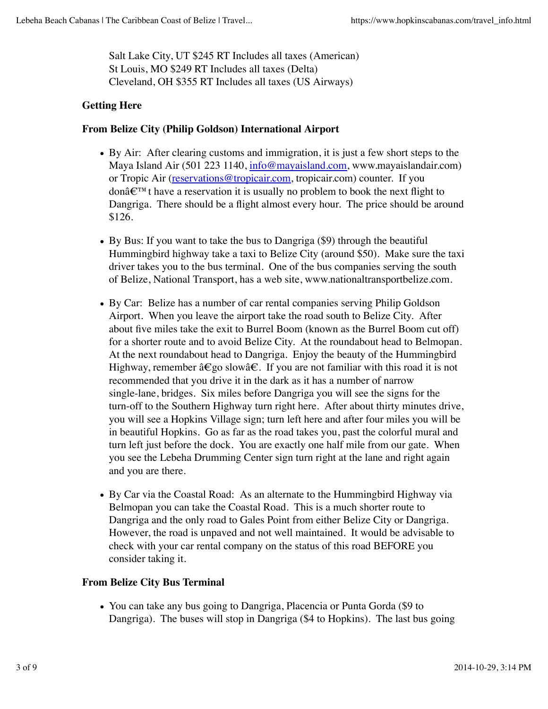Salt Lake City, UT \$245 RT Includes all taxes (American) St Louis, MO \$249 RT Includes all taxes (Delta) Cleveland, OH \$355 RT Includes all taxes (US Airways)

# **Getting Here**

## **From Belize City (Philip Goldson) International Airport**

- By Air: After clearing customs and immigration, it is just a few short steps to the Maya Island Air (501 223 1140, info@mayaisland.com, www.mayaislandair.com) or Tropic Air (reservations@tropicair.com, tropicair.com) counter. If you donâ€™t have a reservation it is usually no problem to book the next flight to Dangriga. There should be a flight almost every hour. The price should be around \$126.
- By Bus: If you want to take the bus to Dangriga (\$9) through the beautiful Hummingbird highway take a taxi to Belize City (around \$50). Make sure the taxi driver takes you to the bus terminal. One of the bus companies serving the south of Belize, National Transport, has a web site, www.nationaltransportbelize.com.
- By Car: Belize has a number of car rental companies serving Philip Goldson Airport. When you leave the airport take the road south to Belize City. After about five miles take the exit to Burrel Boom (known as the Burrel Boom cut off) for a shorter route and to avoid Belize City. At the roundabout head to Belmopan. At the next roundabout head to Dangriga. Enjoy the beauty of the Hummingbird Highway, remember â $\epsilon$ go slowâ $\epsilon$ . If you are not familiar with this road it is not recommended that you drive it in the dark as it has a number of narrow single-lane, bridges. Six miles before Dangriga you will see the signs for the turn-off to the Southern Highway turn right here. After about thirty minutes drive, you will see a Hopkins Village sign; turn left here and after four miles you will be in beautiful Hopkins. Go as far as the road takes you, past the colorful mural and turn left just before the dock. You are exactly one half mile from our gate. When you see the Lebeha Drumming Center sign turn right at the lane and right again and you are there.
- By Car via the Coastal Road: As an alternate to the Hummingbird Highway via Belmopan you can take the Coastal Road. This is a much shorter route to Dangriga and the only road to Gales Point from either Belize City or Dangriga. However, the road is unpaved and not well maintained. It would be advisable to check with your car rental company on the status of this road BEFORE you consider taking it.

## **From Belize City Bus Terminal**

You can take any bus going to Dangriga, Placencia or Punta Gorda (\$9 to Dangriga). The buses will stop in Dangriga (\$4 to Hopkins). The last bus going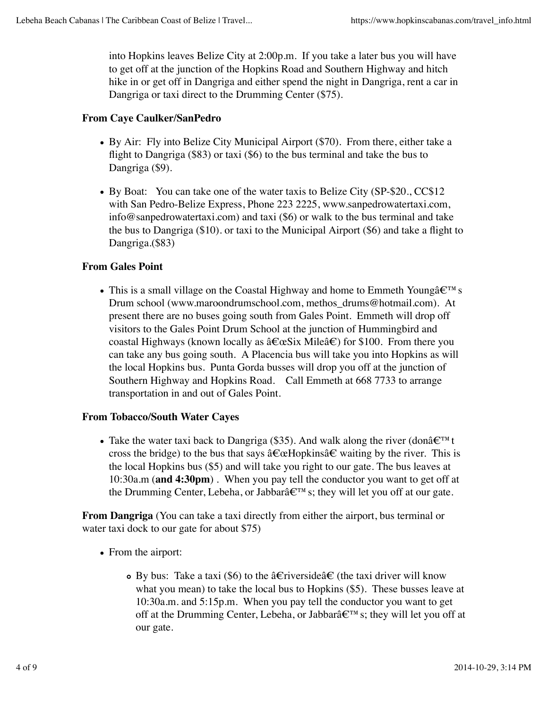into Hopkins leaves Belize City at 2:00p.m. If you take a later bus you will have to get off at the junction of the Hopkins Road and Southern Highway and hitch hike in or get off in Dangriga and either spend the night in Dangriga, rent a car in Dangriga or taxi direct to the Drumming Center (\$75).

# **From Caye Caulker/SanPedro**

- By Air: Fly into Belize City Municipal Airport (\$70). From there, either take a flight to Dangriga (\$83) or taxi (\$6) to the bus terminal and take the bus to Dangriga (\$9).
- By Boat: You can take one of the water taxis to Belize City (SP-\$20., CC\$12) with San Pedro-Belize Express, Phone 223 2225, www.sanpedrowatertaxi.com, info@sanpedrowatertaxi.com) and taxi (\$6) or walk to the bus terminal and take the bus to Dangriga (\$10). or taxi to the Municipal Airport (\$6) and take a flight to Dangriga.(\$83)

# **From Gales Point**

• This is a small village on the Coastal Highway and home to Emmeth Young's Drum school (www.maroondrumschool.com, methos\_drums@hotmail.com). At present there are no buses going south from Gales Point. Emmeth will drop off visitors to the Gales Point Drum School at the junction of Hummingbird and coastal Highways (known locally as  $\hat{a} \in \alpha S$  ix Mile $\hat{a} \in \beta$ ) for \$100. From there you can take any bus going south. A Placencia bus will take you into Hopkins as will the local Hopkins bus. Punta Gorda busses will drop you off at the junction of Southern Highway and Hopkins Road. Call Emmeth at 668 7733 to arrange transportation in and out of Gales Point.

## **From Tobacco/South Water Cayes**

• Take the water taxi back to Dangriga (\$35). And walk along the river (donâ€<sup>™</sup>t cross the bridge) to the bus that says â€œHopkinsâ€ waiting by the river. This is the local Hopkins bus (\$5) and will take you right to our gate. The bus leaves at 10:30a.m (**and 4:30pm**) . When you pay tell the conductor you want to get off at the Drumming Center, Lebeha, or Jabbarâ€™s; they will let you off at our gate.

**From Dangriga** (You can take a taxi directly from either the airport, bus terminal or water taxi dock to our gate for about \$75)

- From the airport:
	- **•** By bus: Take a taxi (\$6) to the â€riverside†(the taxi driver will know what you mean) to take the local bus to Hopkins (\$5). These busses leave at 10:30a.m. and 5:15p.m. When you pay tell the conductor you want to get off at the Drumming Center, Lebeha, or Jabbarâ€™s; they will let you off at our gate.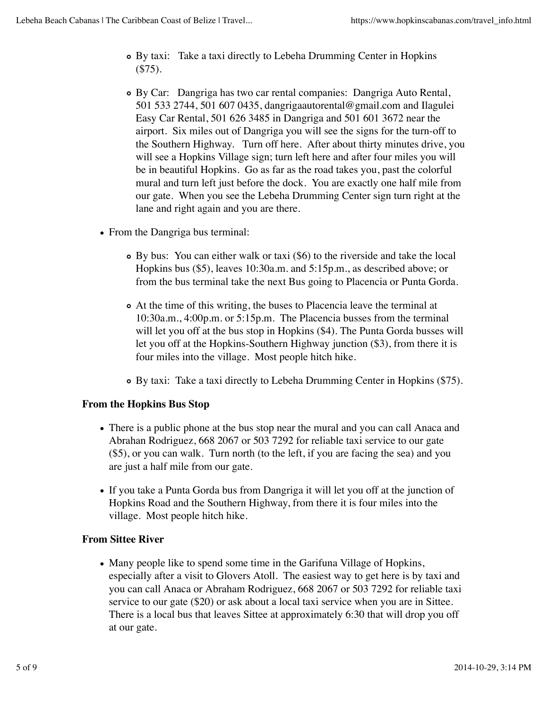- By taxi: Take a taxi directly to Lebeha Drumming Center in Hopkins (\$75).
- By Car: Dangriga has two car rental companies: Dangriga Auto Rental, 501 533 2744, 501 607 0435, dangrigaautorental@gmail.com and Ilagulei Easy Car Rental, 501 626 3485 in Dangriga and 501 601 3672 near the airport. Six miles out of Dangriga you will see the signs for the turn-off to the Southern Highway. Turn off here. After about thirty minutes drive, you will see a Hopkins Village sign; turn left here and after four miles you will be in beautiful Hopkins. Go as far as the road takes you, past the colorful mural and turn left just before the dock. You are exactly one half mile from our gate. When you see the Lebeha Drumming Center sign turn right at the lane and right again and you are there.
- From the Dangriga bus terminal:
	- By bus: You can either walk or taxi (\$6) to the riverside and take the local Hopkins bus (\$5), leaves 10:30a.m. and 5:15p.m., as described above; or from the bus terminal take the next Bus going to Placencia or Punta Gorda.
	- At the time of this writing, the buses to Placencia leave the terminal at 10:30a.m., 4:00p.m. or 5:15p.m. The Placencia busses from the terminal will let you off at the bus stop in Hopkins (\$4). The Punta Gorda busses will let you off at the Hopkins-Southern Highway junction (\$3), from there it is four miles into the village. Most people hitch hike.
	- By taxi: Take a taxi directly to Lebeha Drumming Center in Hopkins (\$75).

## **From the Hopkins Bus Stop**

- There is a public phone at the bus stop near the mural and you can call Anaca and Abrahan Rodriguez, 668 2067 or 503 7292 for reliable taxi service to our gate (\$5), or you can walk. Turn north (to the left, if you are facing the sea) and you are just a half mile from our gate.
- If you take a Punta Gorda bus from Dangriga it will let you off at the junction of Hopkins Road and the Southern Highway, from there it is four miles into the village. Most people hitch hike.

## **From Sittee River**

Many people like to spend some time in the Garifuna Village of Hopkins, especially after a visit to Glovers Atoll. The easiest way to get here is by taxi and you can call Anaca or Abraham Rodriguez, 668 2067 or 503 7292 for reliable taxi service to our gate (\$20) or ask about a local taxi service when you are in Sittee. There is a local bus that leaves Sittee at approximately 6:30 that will drop you off at our gate.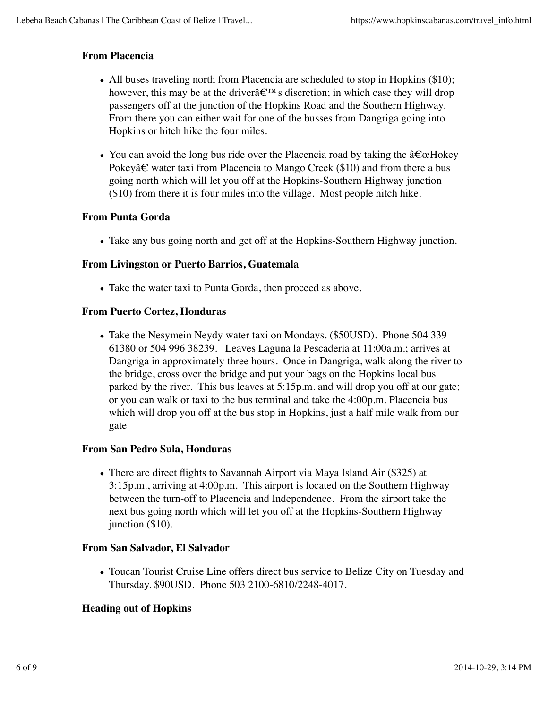# **From Placencia**

- All buses traveling north from Placencia are scheduled to stop in Hopkins (\$10); however, this may be at the driverâ $\varepsilon^{\text{TM}}$  s discretion; in which case they will drop passengers off at the junction of the Hopkins Road and the Southern Highway. From there you can either wait for one of the busses from Dangriga going into Hopkins or hitch hike the four miles.
- You can avoid the long bus ride over the Placencia road by taking the "Hokey Pokey†water taxi from Placencia to Mango Creek (\$10) and from there a bus going north which will let you off at the Hopkins-Southern Highway junction (\$10) from there it is four miles into the village. Most people hitch hike.

## **From Punta Gorda**

Take any bus going north and get off at the Hopkins-Southern Highway junction.

#### **From Livingston or Puerto Barrios, Guatemala**

Take the water taxi to Punta Gorda, then proceed as above.

#### **From Puerto Cortez, Honduras**

• Take the Nesymein Neydy water taxi on Mondays. (\$50USD). Phone 504 339 61380 or 504 996 38239. Leaves Laguna la Pescaderia at 11:00a.m.; arrives at Dangriga in approximately three hours. Once in Dangriga, walk along the river to the bridge, cross over the bridge and put your bags on the Hopkins local bus parked by the river. This bus leaves at 5:15p.m. and will drop you off at our gate; or you can walk or taxi to the bus terminal and take the 4:00p.m. Placencia bus which will drop you off at the bus stop in Hopkins, just a half mile walk from our gate

#### **From San Pedro Sula, Honduras**

There are direct flights to Savannah Airport via Maya Island Air (\$325) at 3:15p.m., arriving at 4:00p.m. This airport is located on the Southern Highway between the turn-off to Placencia and Independence. From the airport take the next bus going north which will let you off at the Hopkins-Southern Highway junction (\$10).

## **From San Salvador, El Salvador**

Toucan Tourist Cruise Line offers direct bus service to Belize City on Tuesday and Thursday. \$90USD. Phone 503 2100-6810/2248-4017.

## **Heading out of Hopkins**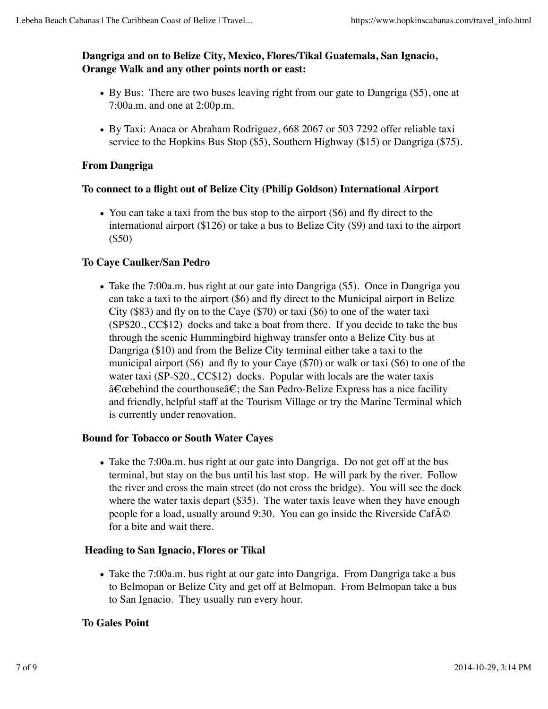# **Dangriga and on to Belize City, Mexico, Flores/Tikal Guatemala, San Ignacio, Orange Walk and any other points north or east:**

- By Bus: There are two buses leaving right from our gate to Dangriga (\$5), one at 7:00a.m. and one at 2:00p.m.
- By Taxi: Anaca or Abraham Rodriguez, 668 2067 or 503 7292 offer reliable taxi service to the Hopkins Bus Stop (\$5), Southern Highway (\$15) or Dangriga (\$75).

# **From Dangriga**

# **To connect to a flight out of Belize City (Philip Goldson) International Airport**

• You can take a taxi from the bus stop to the airport (\$6) and fly direct to the international airport (\$126) or take a bus to Belize City (\$9) and taxi to the airport (\$50)

# **To Caye Caulker/San Pedro**

• Take the 7:00a.m. bus right at our gate into Dangriga (\$5). Once in Dangriga you can take a taxi to the airport (\$6) and fly direct to the Municipal airport in Belize City (\$83) and fly on to the Caye (\$70) or taxi (\$6) to one of the water taxi (SP\$20., CC\$12) docks and take a boat from there. If you decide to take the bus through the scenic Hummingbird highway transfer onto a Belize City bus at Dangriga (\$10) and from the Belize City terminal either take a taxi to the municipal airport (\$6) and fly to your Caye (\$70) or walk or taxi (\$6) to one of the water taxi (SP-\$20., CC\$12) docks. Popular with locals are the water taxis â€œbehind the courthouseâ€; the San Pedro-Belize Express has a nice facility and friendly, helpful staff at the Tourism Village or try the Marine Terminal which is currently under renovation.

## **Bound for Tobacco or South Water Cayes**

Take the 7:00a.m. bus right at our gate into Dangriga. Do not get off at the bus terminal, but stay on the bus until his last stop. He will park by the river. Follow the river and cross the main street (do not cross the bridge). You will see the dock where the water taxis depart (\$35). The water taxis leave when they have enough people for a load, usually around 9:30. You can go inside the Riverside Caf $\tilde{A}$ © for a bite and wait there.

## **Heading to San Ignacio, Flores or Tikal**

• Take the 7:00a.m. bus right at our gate into Dangriga. From Dangriga take a bus to Belmopan or Belize City and get off at Belmopan. From Belmopan take a bus to San Ignacio. They usually run every hour.

## **To Gales Point**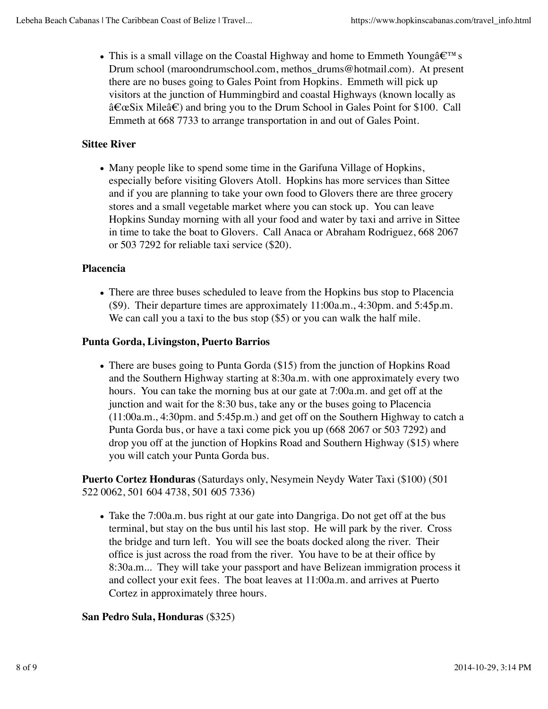• This is a small village on the Coastal Highway and home to Emmeth Youngâ $\epsilon^{\text{TM}}$  s Drum school (maroondrumschool.com, methos\_drums@hotmail.com). At present there are no buses going to Gales Point from Hopkins. Emmeth will pick up visitors at the junction of Hummingbird and coastal Highways (known locally as â€œSix Mileâ€) and bring you to the Drum School in Gales Point for \$100. Call Emmeth at 668 7733 to arrange transportation in and out of Gales Point.

# **Sittee River**

Many people like to spend some time in the Garifuna Village of Hopkins, especially before visiting Glovers Atoll. Hopkins has more services than Sittee and if you are planning to take your own food to Glovers there are three grocery stores and a small vegetable market where you can stock up. You can leave Hopkins Sunday morning with all your food and water by taxi and arrive in Sittee in time to take the boat to Glovers. Call Anaca or Abraham Rodriguez, 668 2067 or 503 7292 for reliable taxi service (\$20).

# **Placencia**

There are three buses scheduled to leave from the Hopkins bus stop to Placencia (\$9). Their departure times are approximately 11:00a.m., 4:30pm. and 5:45p.m. We can call you a taxi to the bus stop  $(\$5)$  or you can walk the half mile.

# **Punta Gorda, Livingston, Puerto Barrios**

• There are buses going to Punta Gorda (\$15) from the junction of Hopkins Road and the Southern Highway starting at 8:30a.m. with one approximately every two hours. You can take the morning bus at our gate at 7:00a.m. and get off at the junction and wait for the 8:30 bus, take any or the buses going to Placencia (11:00a.m., 4:30pm. and 5:45p.m.) and get off on the Southern Highway to catch a Punta Gorda bus, or have a taxi come pick you up (668 2067 or 503 7292) and drop you off at the junction of Hopkins Road and Southern Highway (\$15) where you will catch your Punta Gorda bus.

**Puerto Cortez Honduras** (Saturdays only, Nesymein Neydy Water Taxi (\$100) (501 522 0062, 501 604 4738, 501 605 7336)

• Take the 7:00a.m. bus right at our gate into Dangriga. Do not get off at the bus terminal, but stay on the bus until his last stop. He will park by the river. Cross the bridge and turn left. You will see the boats docked along the river. Their office is just across the road from the river. You have to be at their office by 8:30a.m... They will take your passport and have Belizean immigration process it and collect your exit fees. The boat leaves at 11:00a.m. and arrives at Puerto Cortez in approximately three hours.

# **San Pedro Sula, Honduras** (\$325)